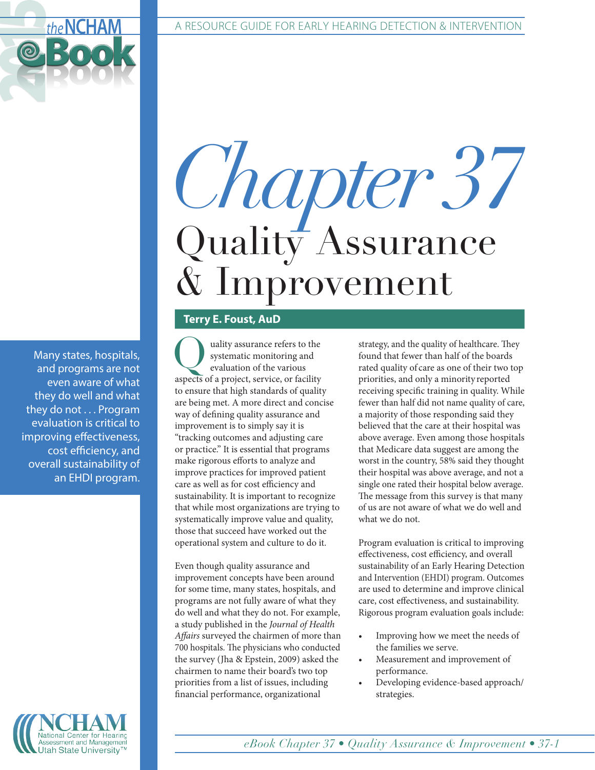# *Chapter 37* Quality Assurance & Improvement

### **Terry E. Foust, AuD**

uality assurance refers to the systematic monitoring and evaluation of the various aspects of a project, service, or facility to ensure that high standards of quality are being met. A more direct and concise way of defining quality assurance and improvement is to simply say it is "tracking outcomes and adjusting care or practice." It is essential that programs make rigorous efforts to analyze and improve practices for improved patient care as well as for cost efficiency and sustainability. It is important to recognize that while most organizations are trying to systematically improve value and quality, those that succeed have worked out the operational system and culture to do it.

Even though quality assurance and improvement concepts have been around for some time, many states, hospitals, and programs are not fully aware of what they do well and what they do not. For example, a study published in the *Journal of Health Affairs* surveyed the chairmen of more than 700 hospitals. The physicians who conducted the survey (Jha & Epstein, 2009) asked the chairmen to name their board's two top priorities from a list of issues, including financial performance, organizational

strategy, and the quality of healthcare. They found that fewer than half of the boards rated quality of care as one of their two top priorities, and only a minority reported receiving specific training in quality. While fewer than half did not name quality of care, a majority of those responding said they believed that the care at their hospital was above average. Even among those hospitals that Medicare data suggest are among the worst in the country, 58% said they thought their hospital was above average, and not a single one rated their hospital below average. The message from this survey is that many of us are not aware of what we do well and what we do not.

Program evaluation is critical to improving effectiveness, cost efficiency, and overall sustainability of an Early Hearing Detection and Intervention (EHDI) program. Outcomes are used to determine and improve clinical care, cost effectiveness, and sustainability. Rigorous program evaluation goals include:

- Improving how we meet the needs of the families we serve.
- Measurement and improvement of performance.
- Developing evidence-based approach/ strategies.

Many states, hospitals, and programs are not even aware of what they do well and what they do not . . . Program evaluation is critical to improving effectiveness, cost efficiency, and overall sustainability of an EHDI program.

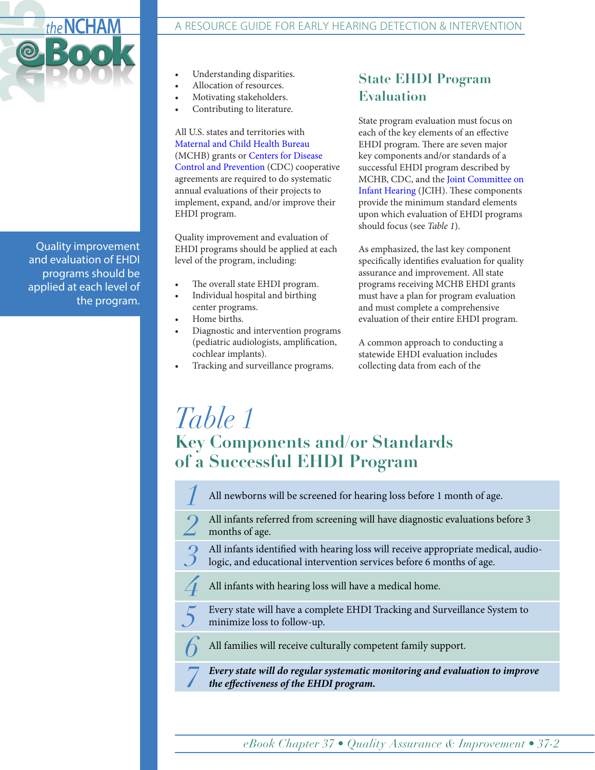

Quality improvement and evaluation of EHDI programs should be applied at each level of the program.

- Understanding disparities.
- Allocation of resources.
- Motivating stakeholders.
- Contributing to literature.

All U.S. states and territories with [Maternal and Child Health Bureau](http://mchb.hrsa.gov/) (MCHB) grants or [Centers for Disease](http://www.cdc.gov/)  [Control and Prevention](http://www.cdc.gov/) (CDC) cooperative agreements are required to do systematic annual evaluations of their projects to implement, expand, and/or improve their EHDI program.

Quality improvement and evaluation of EHDI programs should be applied at each level of the program, including:

- The overall state EHDI program.
- Individual hospital and birthing center programs.
- Home births.

*6*

- Diagnostic and intervention programs (pediatric audiologists, amplification, cochlear implants).
- Tracking and surveillance programs.

## **State EHDI Program Evaluation**

State program evaluation must focus on each of the key elements of an effective EHDI program. There are seven major key components and/or standards of a successful EHDI program described by MCHB, CDC, and the [Joint Committee on](http://www.jcih.org/default.htm)  [Infant Hearing](http://www.jcih.org/default.htm) (JCIH). These components provide the minimum standard elements upon which evaluation of EHDI programs should focus (see *Table 1*).

As emphasized, the last key component specifically identifies evaluation for quality assurance and improvement. All state programs receiving MCHB EHDI grants must have a plan for program evaluation and must complete a comprehensive evaluation of their entire EHDI program.

A common approach to conducting a statewide EHDI evaluation includes collecting data from each of the

## *Table 1* **Key Components and/or Standards of a Successful EHDI Program**

All newborns will be screened for hearing loss before 1 month of age. *1* 

All infants referred from screening will have diagnostic evaluations before 3 months of age. *2*

All infants identified with hearing loss will receive appropriate medical, audiologic, and educational intervention services before 6 months of age. *3*

All infants with hearing loss will have a medical home. *4*

Every state will have a complete EHDI Tracking and Surveillance System to minimize loss to follow-up. *5*

All families will receive culturally competent family support.

*Every state will do regular systematic monitoring and evaluation to improve the e ectiveness of the EHDI program. 7*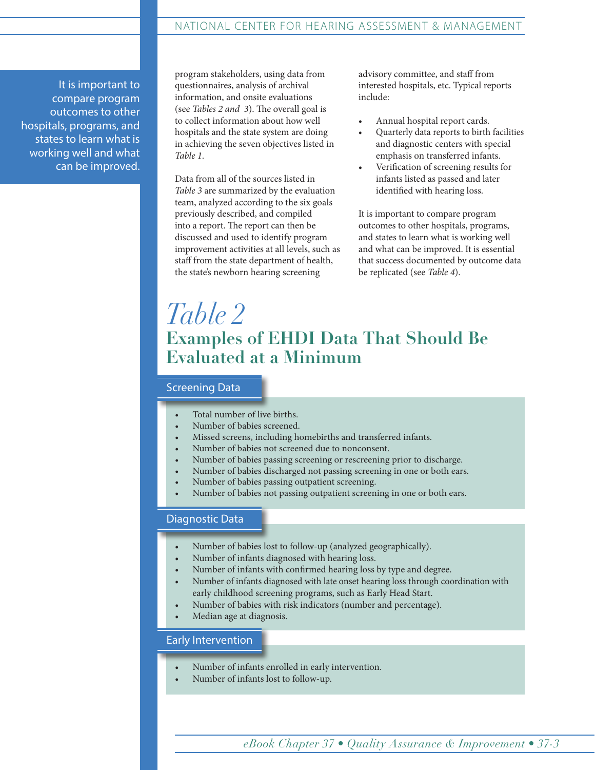#### NATIONAL CENTER FOR HEARING ASSESSMENT & MANAGEMENT

It is important to compare program outcomes to other hospitals, programs, and states to learn what is working well and what can be improved.

program stakeholders, using data from questionnaires, analysis of archival information, and onsite evaluations (see *Tables 2 and 3*). The overall goal is to collect information about how well hospitals and the state system are doing in achieving the seven objectives listed in *Table 1*.

Data from all of the sources listed in *Table 3* are summarized by the evaluation team, analyzed according to the six goals previously described, and compiled into a report. The report can then be discussed and used to identify program improvement activities at all levels, such as staff from the state department of health, the state's newborn hearing screening

advisory committee, and staff from interested hospitals, etc. Typical reports include:

- Annual hospital report cards.
- Quarterly data reports to birth facilities and diagnostic centers with special emphasis on transferred infants.
- Verification of screening results for infants listed as passed and later identified with hearing loss.

It is important to compare program outcomes to other hospitals, programs, and states to learn what is working well and what can be improved. It is essential that success documented by outcome data be replicated (see *Table 4*).

# *Table 2* **Examples of EHDI Data That Should Be Evaluated at a Minimum**

#### Screening Data

- Total number of live births.
- Number of babies screened.
- Missed screens, including homebirths and transferred infants.
- Number of babies not screened due to nonconsent.
- Number of babies passing screening or rescreening prior to discharge.
- Number of babies discharged not passing screening in one or both ears.
- Number of babies passing outpatient screening.
- Number of babies not passing outpatient screening in one or both ears.

#### Diagnostic Data

- Number of babies lost to follow-up (analyzed geographically).
- Number of infants diagnosed with hearing loss.
- Number of infants with confirmed hearing loss by type and degree.
- Number of infants diagnosed with late onset hearing loss through coordination with early childhood screening programs, such as Early Head Start.
- Number of babies with risk indicators (number and percentage).
- Median age at diagnosis.

#### Early Intervention

- Number of infants enrolled in early intervention.
- Number of infants lost to follow-up.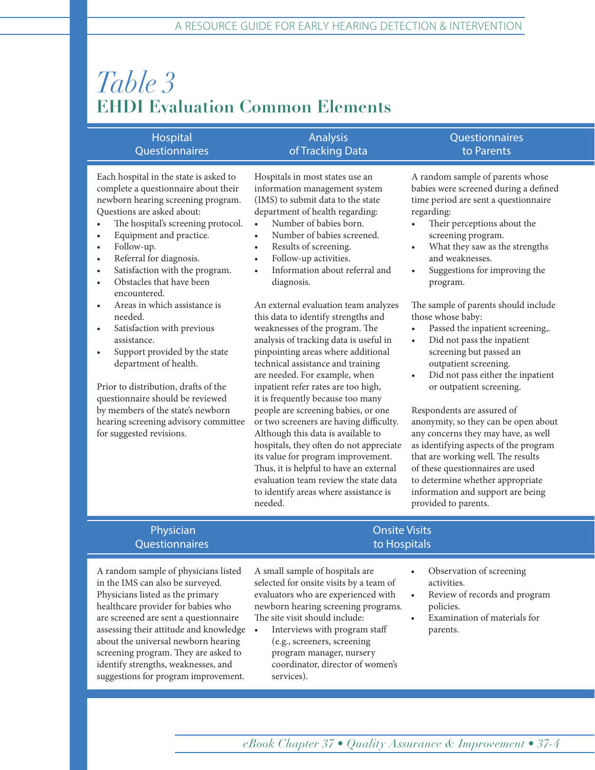# *Table 3* **EHDI Evaluation Common Elements**

| Hospital                                                                                                                                                                                                                                                                                                                                                                                                                 | <b>Analysis</b>                                                                                                                                                                                                                                                                                                                                 | Questionnaires                                                                                                                                                                                                                                                                                                   |
|--------------------------------------------------------------------------------------------------------------------------------------------------------------------------------------------------------------------------------------------------------------------------------------------------------------------------------------------------------------------------------------------------------------------------|-------------------------------------------------------------------------------------------------------------------------------------------------------------------------------------------------------------------------------------------------------------------------------------------------------------------------------------------------|------------------------------------------------------------------------------------------------------------------------------------------------------------------------------------------------------------------------------------------------------------------------------------------------------------------|
| <b>Questionnaires</b>                                                                                                                                                                                                                                                                                                                                                                                                    | of Tracking Data                                                                                                                                                                                                                                                                                                                                | to Parents                                                                                                                                                                                                                                                                                                       |
| Each hospital in the state is asked to<br>complete a questionnaire about their<br>newborn hearing screening program.<br>Questions are asked about:<br>The hospital's screening protocol.<br>$\bullet$<br>Equipment and practice.<br>$\bullet$<br>Follow-up.<br>$\bullet$<br>Referral for diagnosis.<br>$\bullet$<br>Satisfaction with the program.<br>$\bullet$<br>Obstacles that have been<br>$\bullet$<br>encountered. | Hospitals in most states use an<br>information management system<br>(IMS) to submit data to the state<br>department of health regarding:<br>Number of babies born.<br>Number of babies screened.<br>Results of screening.<br>$\bullet$<br>Follow-up activities.<br>$\bullet$<br>Information about referral and<br>$\bullet$<br>diagnosis.       | A random sample of parents whose<br>babies were screened during a defined<br>time period are sent a questionnaire<br>regarding:<br>Their perceptions about the<br>screening program.<br>What they saw as the strengths<br>$\bullet$<br>and weaknesses.<br>Suggestions for improving the<br>$\bullet$<br>program. |
| Areas in which assistance is<br>$\bullet$<br>needed.<br>Satisfaction with previous<br>$\bullet$<br>assistance.<br>Support provided by the state<br>$\bullet$<br>department of health.<br>Prior to distribution, drafts of the<br>questionnaire should be reviewed                                                                                                                                                        | An external evaluation team analyzes<br>this data to identify strengths and<br>weaknesses of the program. The<br>analysis of tracking data is useful in<br>pinpointing areas where additional<br>technical assistance and training<br>are needed. For example, when<br>inpatient refer rates are too high,<br>it is frequently because too many | The sample of parents should include<br>those whose baby:<br>Passed the inpatient screening,.<br>Did not pass the inpatient<br>$\bullet$<br>screening but passed an<br>outpatient screening.<br>Did not pass either the inpatient<br>$\bullet$<br>or outpatient screening.                                       |
| by members of the state's newborn                                                                                                                                                                                                                                                                                                                                                                                        | people are screening babies, or one                                                                                                                                                                                                                                                                                                             | Respondents are assured of                                                                                                                                                                                                                                                                                       |
| hearing screening advisory committee                                                                                                                                                                                                                                                                                                                                                                                     | or two screeners are having difficulty.                                                                                                                                                                                                                                                                                                         | anonymity, so they can be open about                                                                                                                                                                                                                                                                             |

anonymity, so they can be open about any concerns they may have, as well as identifying aspects of the program that are working well. The results of these questionnaires are used to determine whether appropriate information and support are being provided to parents.

#### Physician **Onsite Visits** Questionnaires **to Hospitals**

for suggested revisions.

A random sample of physicians listed in the IMS can also be surveyed. Physicians listed as the primary healthcare provider for babies who are screened are sent a questionnaire assessing their attitude and knowledge about the universal newborn hearing screening program. They are asked to identify strengths, weaknesses, and suggestions for program improvement.

A small sample of hospitals are selected for onsite visits by a team of evaluators who are experienced with newborn hearing screening programs. The site visit should include:

Although this data is available to hospitals, they often do not appreciate its value for program improvement. Thus, it is helpful to have an external evaluation team review the state data to identify areas where assistance is

needed.

- Interviews with program staff (e.g., screeners, screening program manager, nursery coordinator, director of women's services).
- - Observation of screening activities.
	- Review of records and program policies.
	- Examination of materials for parents.

*eBook Chapter 37 • Quality Assurance & Improvement • 37-4*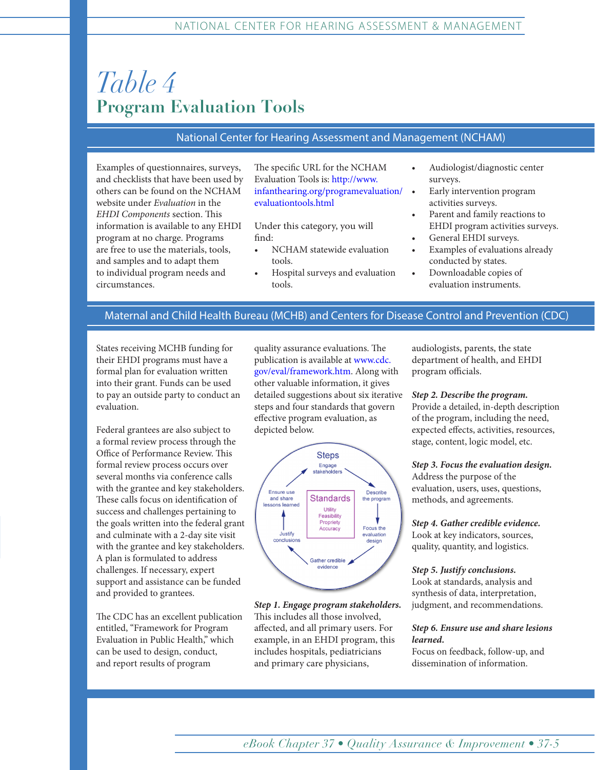# *Table 4* **Program Evaluation Tools**

#### National Center for Hearing Assessment and Management (NCHAM)

Examples of questionnaires, surveys, and checklists that have been used by others can be found on the NCHAM website under *Evaluation* in the *EHDI Components* section. This information is available to any EHDI program at no charge. Programs are free to use the materials, tools, and samples and to adapt them to individual program needs and circumstances.

The specific URL for the NCHAM Evaluation Tools is: [http://www.](http://www.infanthearing.org/programevaluation/evaluationtools.html) [infanthearing.org/programevaluation/](http://www.infanthearing.org/programevaluation/evaluationtools.html) [evaluationtools.html](http://www.infanthearing.org/programevaluation/evaluationtools.html)

Under this category, you will find:

- NCHAM statewide evaluation tools.
- Hospital surveys and evaluation tools.
- Audiologist/diagnostic center surveys.
- Early intervention program activities surveys.
- Parent and family reactions to EHDI program activities surveys.
- General EHDI surveys.
- Examples of evaluations already conducted by states.
- Downloadable copies of evaluation instruments.

#### Maternal and Child Health Bureau (MCHB) and Centers for Disease Control and Prevention (CDC)

States receiving MCHB funding for their EHDI programs must have a formal plan for evaluation written into their grant. Funds can be used to pay an outside party to conduct an evaluation.

Federal grantees are also subject to a formal review process through the Office of Performance Review. This formal review process occurs over several months via conference calls with the grantee and key stakeholders. These calls focus on identification of success and challenges pertaining to the goals written into the federal grant and culminate with a 2-day site visit with the grantee and key stakeholders. A plan is formulated to address challenges. If necessary, expert support and assistance can be funded and provided to grantees.

The CDC has an excellent publication entitled, "Framework for Program Evaluation in Public Health," which can be used to design, conduct, and report results of program

quality assurance evaluations. The publication is available at [www.cdc.](http://www.cdc.gov/eval/framework.htm) [gov/eval/framework.htm](http://www.cdc.gov/eval/framework.htm). Along with other valuable information, it gives detailed suggestions about six iterative steps and four standards that govern effective program evaluation, as depicted below.



*Step 1. Engage program stakeholders.*  This includes all those involved, affected, and all primary users. For example, in an EHDI program, this includes hospitals, pediatricians and primary care physicians,

audiologists, parents, the state department of health, and EHDI program officials.

#### *Step 2. Describe the program.*

Provide a detailed, in-depth description of the program, including the need, expected effects, activities, resources, stage, content, logic model, etc.

#### *Step 3. Focus the evaluation design.*

Address the purpose of the evaluation, users, uses, questions, methods, and agreements.

*Step 4. Gather credible evidence.* Look at key indicators, sources, quality, quantity, and logistics.

#### *Step 5. Justify conclusions.*

Look at standards, analysis and synthesis of data, interpretation, judgment, and recommendations.

#### *Step 6. Ensure use and share lesions learned.*

Focus on feedback, follow-up, and dissemination of information.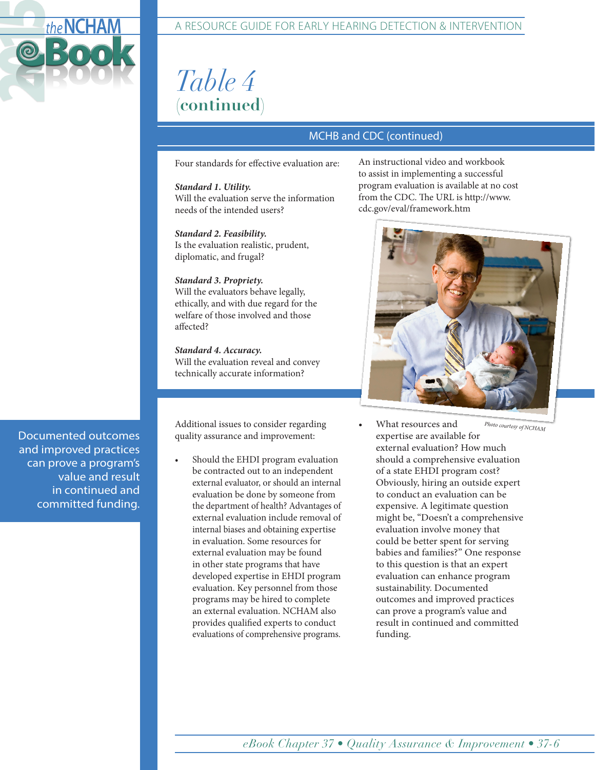

# *Table 4* **(continued)**

## MCHB and CDC (continued)

Four standards for effective evaluation are:

*Standard 1. Utility.*  Will the evaluation serve the information needs of the intended users?

*Standard 2. Feasibility.*  Is the evaluation realistic, prudent, diplomatic, and frugal?

#### *Standard 3. Propriety.*

Will the evaluators behave legally, ethically, and with due regard for the welfare of those involved and those affected?

*Standard 4. Accuracy.*  Will the evaluation reveal and convey technically accurate information?

quality assurance and improvement:

Should the EHDI program evaluation be contracted out to an independent external evaluator, or should an internal evaluation be done by someone from the department of health? Advantages of external evaluation include removal of internal biases and obtaining expertise in evaluation. Some resources for external evaluation may be found in other state programs that have developed expertise in EHDI program evaluation. Key personnel from those programs may be hired to complete an external evaluation. NCHAM also provides qualified experts to conduct evaluations of comprehensive programs.

An instructional video and workbook to assist in implementing a successful program evaluation is available at no cost from the CDC. The URL is http://www. cdc.gov/eval/framework.htm



Additional issues to consider regarding  $\bullet$  What resources and *Photo courtesy of NCHAM* • What resources and expertise are available for external evaluation? How much should a comprehensive evaluation of a state EHDI program cost? Obviously, hiring an outside expert to conduct an evaluation can be expensive. A legitimate question might be, "Doesn't a comprehensive evaluation involve money that could be better spent for serving babies and families?" One response to this question is that an expert evaluation can enhance program sustainability. Documented outcomes and improved practices can prove a program's value and result in continued and committed funding.

Documented outcomes and improved practices can prove a program's value and result in continued and committed funding.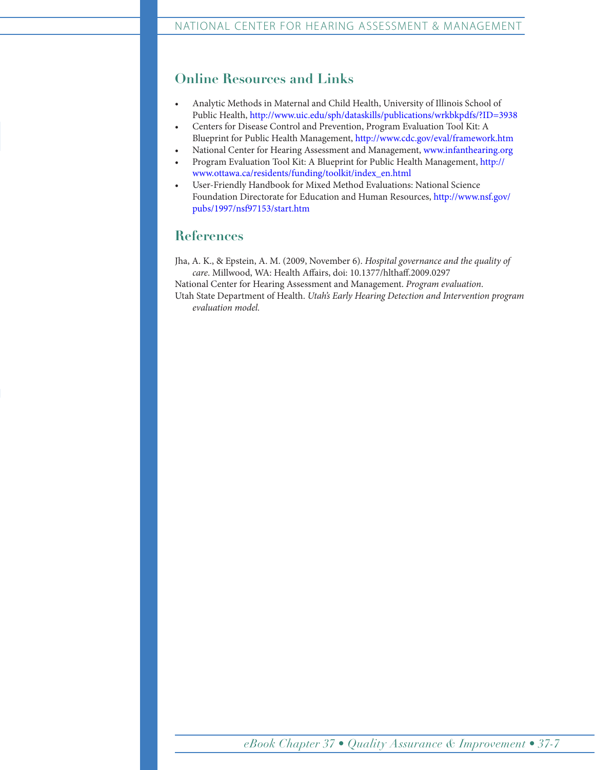## **Online Resources and Links**

- Analytic Methods in Maternal and Child Health, University of Illinois School of Public Health,<http://www.uic.edu/sph/dataskills/publications/wrkbkpdfs/?ID=3938>
- Centers for Disease Control and Prevention, Program Evaluation Tool Kit: A Blueprint for Public Health Management, <http://www.cdc.gov/eval/framework.htm>
- National Center for Hearing Assessment and Management, [www.infanthearing.org](http://www.infanthearing.org)
- Program Evaluation Tool Kit: A Blueprint for Public Health Management, [http://](http://www.ottawa.ca/residents/funding/toolkit/index_en.html) [www.ottawa.ca/residents/funding/toolkit/index\\_en.html](http://www.ottawa.ca/residents/funding/toolkit/index_en.html)
- User-Friendly Handbook for Mixed Method Evaluations: National Science Foundation Directorate for Education and Human Resources, [http://www.nsf.gov/](http://www.nsf.gov/pubs/1997/nsf97153/start.htm) [pubs/1997/nsf97153/start.htm](http://www.nsf.gov/pubs/1997/nsf97153/start.htm)

## **References**

Jha, A. K., & Epstein, A. M. (2009, November 6). *Hospital governance and the quality of care*. Millwood, WA: Health Affairs, doi: 10.1377/hlthaff.2009.0297

National Center for Hearing Assessment and Management. *Program evaluation*.

Utah State Department of Health. *Utah's Early Hearing Detection and Intervention program evaluation model.*